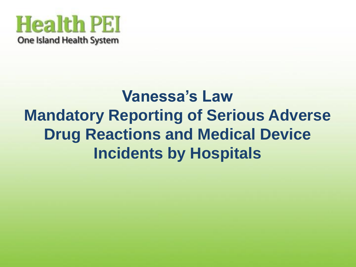

### **Vanessa's Law Mandatory Reporting of Serious Adverse Drug Reactions and Medical Device Incidents by Hospitals**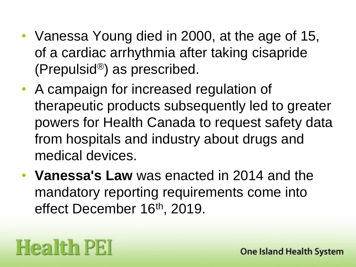- Vanessa Young died in 2000, at the age of 15, of a cardiac arrhythmia after taking cisapride (Prepulsid®) as prescribed.
- A campaign for increased regulation of therapeutic products subsequently led to greater powers for Health Canada to request safety data from hospitals and industry about drugs and medical devices.
- **Vanessa's Law** was enacted in 2014 and the mandatory reporting requirements come into effect December 16<sup>th</sup>, 2019.

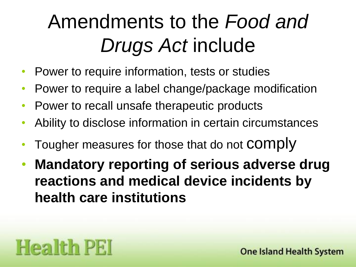# Amendments to the *Food and*  **Drugs Act include**

- Power to require information, tests or studies
- Power to require a label change/package modification
- Power to recall unsafe therapeutic products
- Ability to disclose information in certain circumstances
- Tougher measures for those that do not COMPIV
- **Mandatory reporting of serious adverse drug reactions and medical device incidents by health care institutions**

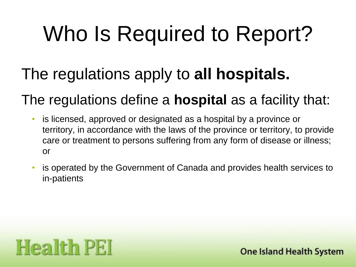# Who Is Required to Report?

#### The regulations apply to **all hospitals.**

#### The regulations define a **hospital** as a facility that:

- is licensed, approved or designated as a hospital by a province or territory, in accordance with the laws of the province or territory, to provide care or treatment to persons suffering from any form of disease or illness; or
- is operated by the Government of Canada and provides health services to in-patients

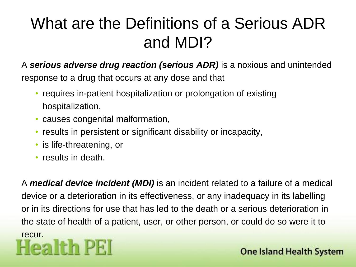### What are the Definitions of a Serious ADR and MDI?

A *serious adverse drug reaction (serious ADR)* is a noxious and unintended

response to a drug that occurs at any dose and that

- requires in-patient hospitalization or prolongation of existing hospitalization,
- causes congenital malformation,
- results in persistent or significant disability or incapacity,
- is life-threatening, or
- results in death.

A *medical device incident (MDI)* is an incident related to a failure of a medical device or a deterioration in its effectiveness, or any inadequacy in its labelling or in its directions for use that has led to the death or a serious deterioration in the state of health of a patient, user, or other person, or could do so were it to recur.<br>Health PEI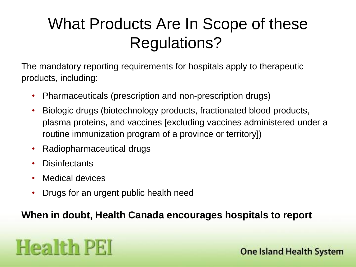### What Products Are In Scope of these Regulations?

The mandatory reporting requirements for hospitals apply to therapeutic products, including:

- Pharmaceuticals (prescription and non-prescription drugs)
- Biologic drugs (biotechnology products, fractionated blood products, plasma proteins, and vaccines [excluding vaccines administered under a routine immunization program of a province or territory])
- Radiopharmaceutical drugs
- Disinfectants
- Medical devices
- Drugs for an urgent public health need

#### **When in doubt, Health Canada encourages hospitals to report**

## **Health PEI**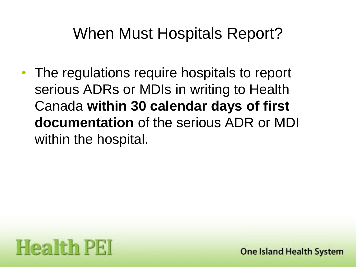#### When Must Hospitals Report?

The regulations require hospitals to report serious ADRs or MDIs in writing to Health Canada **within 30 calendar days of first documentation** of the serious ADR or MDI within the hospital.

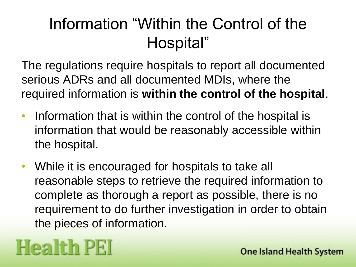#### Information "Within the Control of the Hospital"

The regulations require hospitals to report all documented serious ADRs and all documented MDIs, where the required information is **within the control of the hospital**.

- Information that is within the control of the hospital is information that would be reasonably accessible within the hospital.
- While it is encouraged for hospitals to take all reasonable steps to retrieve the required information to complete as thorough a report as possible, there is no requirement to do further investigation in order to obtain the pieces of information.